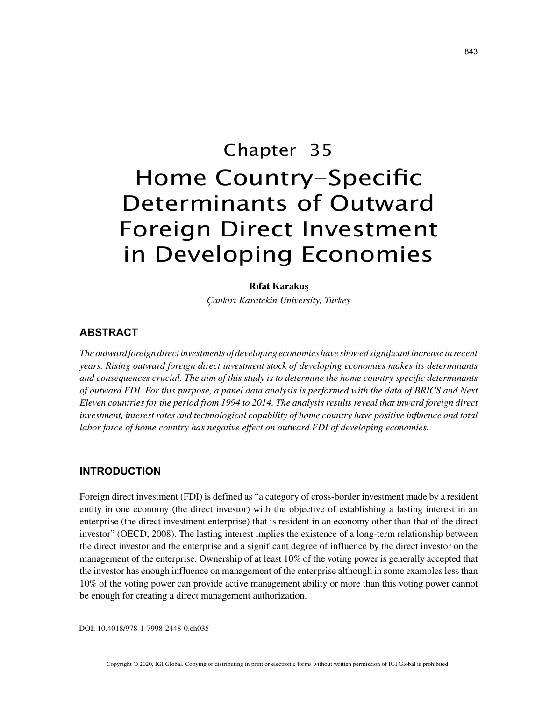# Chapter 35 Home Country-Specific Determinants of Outward

# Foreign Direct Investment in Developing Economies

## **Rıfat Karakuş**

*Çankırı Karatekin University, Turkey*

# **ABSTRACT**

*The outward foreign direct investments of developing economies have showed significant increase in recent years. Rising outward foreign direct investment stock of developing economies makes its determinants and consequences crucial. The aim of this study is to determine the home country specific determinants of outward FDI. For this purpose, a panel data analysis is performed with the data of BRICS and Next Eleven countries for the period from 1994 to 2014. The analysis results reveal that inward foreign direct investment, interest rates and technological capability of home country have positive influence and total labor force of home country has negative effect on outward FDI of developing economies.*

# **INTRODUCTION**

Foreign direct investment (FDI) is defined as "a category of cross-border investment made by a resident entity in one economy (the direct investor) with the objective of establishing a lasting interest in an enterprise (the direct investment enterprise) that is resident in an economy other than that of the direct investor" (OECD, 2008). The lasting interest implies the existence of a long-term relationship between the direct investor and the enterprise and a significant degree of influence by the direct investor on the management of the enterprise. Ownership of at least 10% of the voting power is generally accepted that the investor has enough influence on management of the enterprise although in some examples less than 10% of the voting power can provide active management ability or more than this voting power cannot be enough for creating a direct management authorization.

DOI: 10.4018/978-1-7998-2448-0.ch035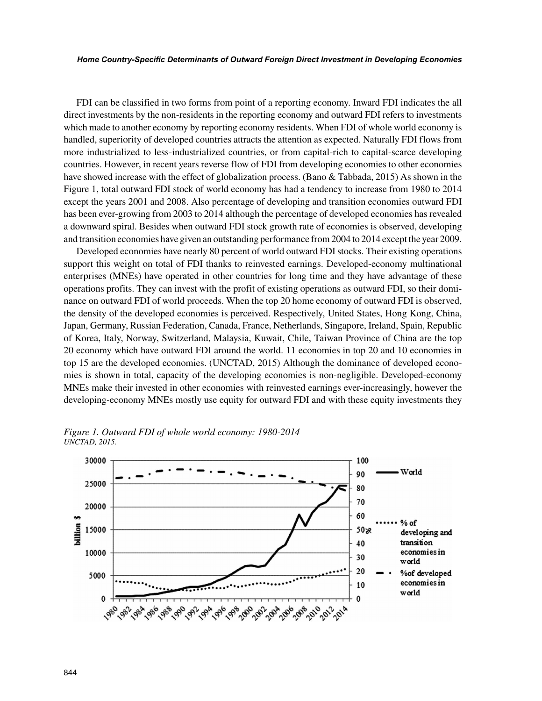#### *Home Country-Specific Determinants of Outward Foreign Direct Investment in Developing Economies*

FDI can be classified in two forms from point of a reporting economy. Inward FDI indicates the all direct investments by the non-residents in the reporting economy and outward FDI refers to investments which made to another economy by reporting economy residents. When FDI of whole world economy is handled, superiority of developed countries attracts the attention as expected. Naturally FDI flows from more industrialized to less-industrialized countries, or from capital-rich to capital-scarce developing countries. However, in recent years reverse flow of FDI from developing economies to other economies have showed increase with the effect of globalization process. (Bano & Tabbada, 2015) As shown in the Figure 1, total outward FDI stock of world economy has had a tendency to increase from 1980 to 2014 except the years 2001 and 2008. Also percentage of developing and transition economies outward FDI has been ever-growing from 2003 to 2014 although the percentage of developed economies has revealed a downward spiral. Besides when outward FDI stock growth rate of economies is observed, developing and transition economies have given an outstanding performance from 2004 to 2014 except the year 2009.

Developed economies have nearly 80 percent of world outward FDI stocks. Their existing operations support this weight on total of FDI thanks to reinvested earnings. Developed-economy multinational enterprises (MNEs) have operated in other countries for long time and they have advantage of these operations profits. They can invest with the profit of existing operations as outward FDI, so their dominance on outward FDI of world proceeds. When the top 20 home economy of outward FDI is observed, the density of the developed economies is perceived. Respectively, United States, Hong Kong, China, Japan, Germany, Russian Federation, Canada, France, Netherlands, Singapore, Ireland, Spain, Republic of Korea, Italy, Norway, Switzerland, Malaysia, Kuwait, Chile, Taiwan Province of China are the top 20 economy which have outward FDI around the world. 11 economies in top 20 and 10 economies in top 15 are the developed economies. (UNCTAD, 2015) Although the dominance of developed economies is shown in total, capacity of the developing economies is non-negligible. Developed-economy MNEs make their invested in other economies with reinvested earnings ever-increasingly, however the developing-economy MNEs mostly use equity for outward FDI and with these equity investments they



*Figure 1. Outward FDI of whole world economy: 1980-2014 UNCTAD, 2015.*